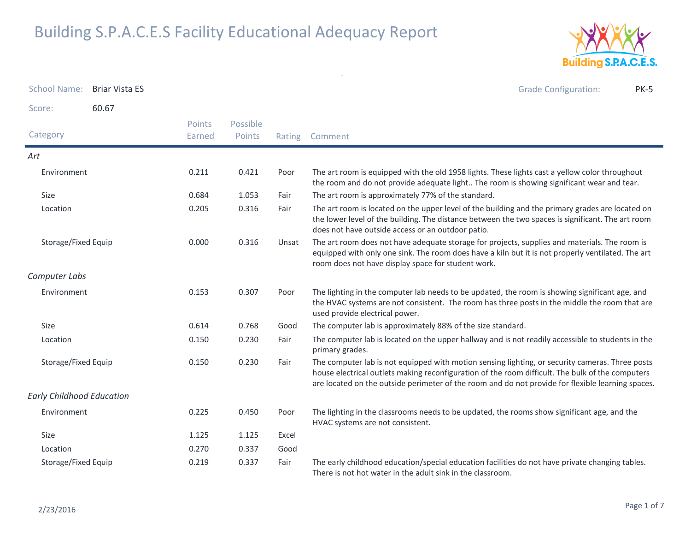

| <b>School Name:</b>              | <b>Briar Vista ES</b> |                  |                    |        | <b>Grade Configuration:</b><br><b>PK-5</b>                                                                                                                                                                                                                                                               |
|----------------------------------|-----------------------|------------------|--------------------|--------|----------------------------------------------------------------------------------------------------------------------------------------------------------------------------------------------------------------------------------------------------------------------------------------------------------|
| Score:                           | 60.67                 |                  |                    |        |                                                                                                                                                                                                                                                                                                          |
| Category                         |                       | Points<br>Earned | Possible<br>Points | Rating | Comment                                                                                                                                                                                                                                                                                                  |
| Art                              |                       |                  |                    |        |                                                                                                                                                                                                                                                                                                          |
| Environment                      |                       | 0.211            | 0.421              | Poor   | The art room is equipped with the old 1958 lights. These lights cast a yellow color throughout<br>the room and do not provide adequate light The room is showing significant wear and tear.                                                                                                              |
| Size                             |                       | 0.684            | 1.053              | Fair   | The art room is approximately 77% of the standard.                                                                                                                                                                                                                                                       |
| Location                         |                       | 0.205            | 0.316              | Fair   | The art room is located on the upper level of the building and the primary grades are located on<br>the lower level of the building. The distance between the two spaces is significant. The art room<br>does not have outside access or an outdoor patio.                                               |
| Storage/Fixed Equip              |                       | 0.000            | 0.316              | Unsat  | The art room does not have adequate storage for projects, supplies and materials. The room is<br>equipped with only one sink. The room does have a kiln but it is not properly ventilated. The art<br>room does not have display space for student work.                                                 |
| Computer Labs                    |                       |                  |                    |        |                                                                                                                                                                                                                                                                                                          |
| Environment                      |                       | 0.153            | 0.307              | Poor   | The lighting in the computer lab needs to be updated, the room is showing significant age, and<br>the HVAC systems are not consistent. The room has three posts in the middle the room that are<br>used provide electrical power.                                                                        |
| Size                             |                       | 0.614            | 0.768              | Good   | The computer lab is approximately 88% of the size standard.                                                                                                                                                                                                                                              |
| Location                         |                       | 0.150            | 0.230              | Fair   | The computer lab is located on the upper hallway and is not readily accessible to students in the<br>primary grades.                                                                                                                                                                                     |
| Storage/Fixed Equip              |                       | 0.150            | 0.230              | Fair   | The computer lab is not equipped with motion sensing lighting, or security cameras. Three posts<br>house electrical outlets making reconfiguration of the room difficult. The bulk of the computers<br>are located on the outside perimeter of the room and do not provide for flexible learning spaces. |
| <b>Early Childhood Education</b> |                       |                  |                    |        |                                                                                                                                                                                                                                                                                                          |
| Environment                      |                       | 0.225            | 0.450              | Poor   | The lighting in the classrooms needs to be updated, the rooms show significant age, and the<br>HVAC systems are not consistent.                                                                                                                                                                          |
| Size                             |                       | 1.125            | 1.125              | Excel  |                                                                                                                                                                                                                                                                                                          |
| Location                         |                       | 0.270            | 0.337              | Good   |                                                                                                                                                                                                                                                                                                          |
| Storage/Fixed Equip              |                       | 0.219            | 0.337              | Fair   | The early childhood education/special education facilities do not have private changing tables.<br>There is not hot water in the adult sink in the classroom.                                                                                                                                            |

 $\mathcal{H}^{\rm (1)}$  and  $\mathcal{H}^{\rm (2)}$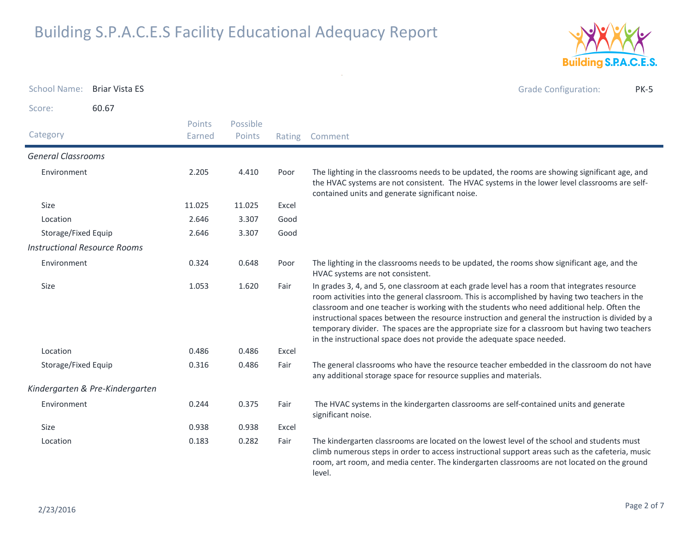

| <b>School Name:</b>                 | <b>Briar Vista ES</b>           |                  |                    |        | <b>Grade Configuration:</b><br><b>PK-5</b>                                                                                                                                                                                                                                                                                                                                                                                                                                                                                                                                    |
|-------------------------------------|---------------------------------|------------------|--------------------|--------|-------------------------------------------------------------------------------------------------------------------------------------------------------------------------------------------------------------------------------------------------------------------------------------------------------------------------------------------------------------------------------------------------------------------------------------------------------------------------------------------------------------------------------------------------------------------------------|
| Score:                              | 60.67                           |                  |                    |        |                                                                                                                                                                                                                                                                                                                                                                                                                                                                                                                                                                               |
| Category                            |                                 | Points<br>Earned | Possible<br>Points | Rating | Comment                                                                                                                                                                                                                                                                                                                                                                                                                                                                                                                                                                       |
| <b>General Classrooms</b>           |                                 |                  |                    |        |                                                                                                                                                                                                                                                                                                                                                                                                                                                                                                                                                                               |
| Environment                         |                                 | 2.205            | 4.410              | Poor   | The lighting in the classrooms needs to be updated, the rooms are showing significant age, and<br>the HVAC systems are not consistent. The HVAC systems in the lower level classrooms are self-<br>contained units and generate significant noise.                                                                                                                                                                                                                                                                                                                            |
| Size                                |                                 | 11.025           | 11.025             | Excel  |                                                                                                                                                                                                                                                                                                                                                                                                                                                                                                                                                                               |
| Location                            |                                 | 2.646            | 3.307              | Good   |                                                                                                                                                                                                                                                                                                                                                                                                                                                                                                                                                                               |
| Storage/Fixed Equip                 |                                 | 2.646            | 3.307              | Good   |                                                                                                                                                                                                                                                                                                                                                                                                                                                                                                                                                                               |
| <b>Instructional Resource Rooms</b> |                                 |                  |                    |        |                                                                                                                                                                                                                                                                                                                                                                                                                                                                                                                                                                               |
| Environment                         |                                 | 0.324            | 0.648              | Poor   | The lighting in the classrooms needs to be updated, the rooms show significant age, and the<br>HVAC systems are not consistent.                                                                                                                                                                                                                                                                                                                                                                                                                                               |
| Size                                |                                 | 1.053            | 1.620              | Fair   | In grades 3, 4, and 5, one classroom at each grade level has a room that integrates resource<br>room activities into the general classroom. This is accomplished by having two teachers in the<br>classroom and one teacher is working with the students who need additional help. Often the<br>instructional spaces between the resource instruction and general the instruction is divided by a<br>temporary divider. The spaces are the appropriate size for a classroom but having two teachers<br>in the instructional space does not provide the adequate space needed. |
| Location                            |                                 | 0.486            | 0.486              | Excel  |                                                                                                                                                                                                                                                                                                                                                                                                                                                                                                                                                                               |
| Storage/Fixed Equip                 |                                 | 0.316            | 0.486              | Fair   | The general classrooms who have the resource teacher embedded in the classroom do not have<br>any additional storage space for resource supplies and materials.                                                                                                                                                                                                                                                                                                                                                                                                               |
|                                     | Kindergarten & Pre-Kindergarten |                  |                    |        |                                                                                                                                                                                                                                                                                                                                                                                                                                                                                                                                                                               |
| Environment                         |                                 | 0.244            | 0.375              | Fair   | The HVAC systems in the kindergarten classrooms are self-contained units and generate<br>significant noise.                                                                                                                                                                                                                                                                                                                                                                                                                                                                   |
| <b>Size</b>                         |                                 | 0.938            | 0.938              | Excel  |                                                                                                                                                                                                                                                                                                                                                                                                                                                                                                                                                                               |
| Location                            |                                 | 0.183            | 0.282              | Fair   | The kindergarten classrooms are located on the lowest level of the school and students must<br>climb numerous steps in order to access instructional support areas such as the cafeteria, music<br>room, art room, and media center. The kindergarten classrooms are not located on the ground<br>level.                                                                                                                                                                                                                                                                      |

 $\sim$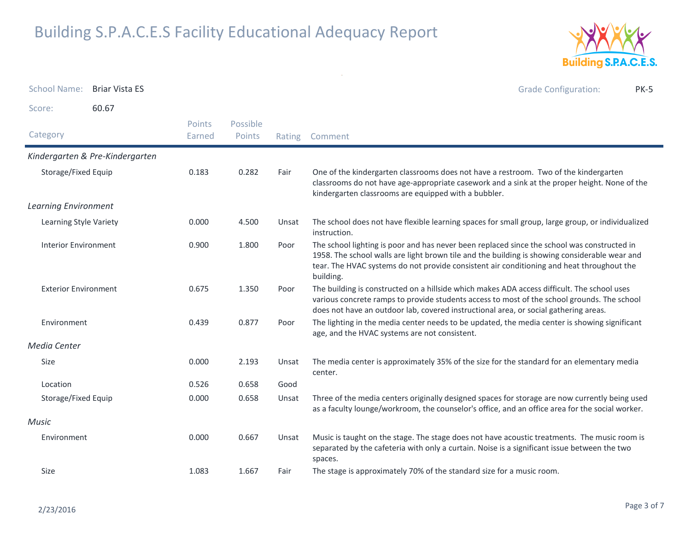

School Name: B<mark>riar Vista ES</mark> Grade Configuration: PK-5Score: 60.67**Category**  Rating Comment Possible PointsPoints EarnedKindergarten & Pre-KindergartenStorage/Fixed Equip One of the kindergarten classrooms does not have a restroom. Two of the kindergarten classrooms do not have age-appropriate casework and a sink at the proper height. None of the kindergarten classrooms are equipped with a bubbler.0.183 $0.282$ Learning EnvironmentLearning Style Variety The school does not have flexible learning spaces for small group, large group, or individualized instruction.0.000Unsat Interior Environment The school lighting is poor and has never been replaced since the school was constructed in 1958. The school walls are light brown tile and the building is showing considerable wear and tear. The HVAC systems do not provide consistent air conditioning and heat throughout the building.0.9001.800 Exterior Environment The building is constructed on a hillside which makes ADA access difficult. The school uses various concrete ramps to provide students access to most of the school grounds. The school does not have an outdoor lab, covered instructional area, or social gathering areas.0.6751.350 Environment The lighting in the media center needs to be updated, the media center is showing significant age, and the HVAC systems are not consistent.0.4390.877 Media CenterSize The media center is approximately 35% of the size for the standard for an elementary media center.0.0002.193 Location 0.526 0.658 Good Storage/Fixed Equip Three of the media centers originally designed spaces for storage are now currently being used as a faculty lounge/workroom, the counselor's office, and an office area for the social worker.0.000 $0.658$ MusicEnvironment Music is taught on the stage. The stage does not have acoustic treatments. The music room is separated by the cafeteria with only a curtain. Noise is a significant issue between the two spaces.0.0000.667 Sizee 1.083 1.667 Fair The stage is approximately 70% of the standard size for a music room.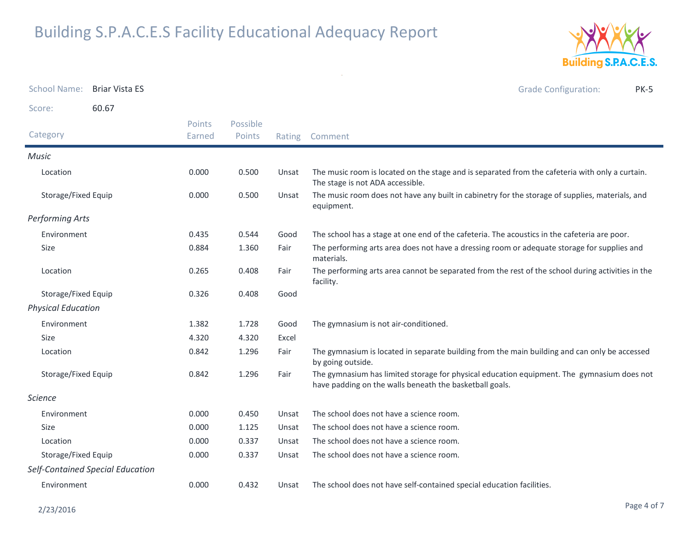

| <b>School Name:</b>       | <b>Briar Vista ES</b>            |                  |                    |        | <b>Grade Configuration:</b><br><b>PK-5</b>                                                                                                            |
|---------------------------|----------------------------------|------------------|--------------------|--------|-------------------------------------------------------------------------------------------------------------------------------------------------------|
| Score:                    | 60.67                            |                  |                    |        |                                                                                                                                                       |
| Category                  |                                  | Points<br>Earned | Possible<br>Points | Rating | Comment                                                                                                                                               |
| <b>Music</b>              |                                  |                  |                    |        |                                                                                                                                                       |
| Location                  |                                  | 0.000            | 0.500              | Unsat  | The music room is located on the stage and is separated from the cafeteria with only a curtain.<br>The stage is not ADA accessible.                   |
| Storage/Fixed Equip       |                                  | 0.000            | 0.500              | Unsat  | The music room does not have any built in cabinetry for the storage of supplies, materials, and<br>equipment.                                         |
| <b>Performing Arts</b>    |                                  |                  |                    |        |                                                                                                                                                       |
| Environment               |                                  | 0.435            | 0.544              | Good   | The school has a stage at one end of the cafeteria. The acoustics in the cafeteria are poor.                                                          |
| Size                      |                                  | 0.884            | 1.360              | Fair   | The performing arts area does not have a dressing room or adequate storage for supplies and<br>materials.                                             |
| Location                  |                                  | 0.265            | 0.408              | Fair   | The performing arts area cannot be separated from the rest of the school during activities in the<br>facility.                                        |
| Storage/Fixed Equip       |                                  | 0.326            | 0.408              | Good   |                                                                                                                                                       |
| <b>Physical Education</b> |                                  |                  |                    |        |                                                                                                                                                       |
| Environment               |                                  | 1.382            | 1.728              | Good   | The gymnasium is not air-conditioned.                                                                                                                 |
| <b>Size</b>               |                                  | 4.320            | 4.320              | Excel  |                                                                                                                                                       |
| Location                  |                                  | 0.842            | 1.296              | Fair   | The gymnasium is located in separate building from the main building and can only be accessed<br>by going outside.                                    |
| Storage/Fixed Equip       |                                  | 0.842            | 1.296              | Fair   | The gymnasium has limited storage for physical education equipment. The gymnasium does not<br>have padding on the walls beneath the basketball goals. |
| <i>Science</i>            |                                  |                  |                    |        |                                                                                                                                                       |
| Environment               |                                  | 0.000            | 0.450              | Unsat  | The school does not have a science room.                                                                                                              |
| Size                      |                                  | 0.000            | 1.125              | Unsat  | The school does not have a science room.                                                                                                              |
| Location                  |                                  | 0.000            | 0.337              | Unsat  | The school does not have a science room.                                                                                                              |
| Storage/Fixed Equip       |                                  | 0.000            | 0.337              | Unsat  | The school does not have a science room.                                                                                                              |
|                           | Self-Contained Special Education |                  |                    |        |                                                                                                                                                       |
| Environment               |                                  | 0.000            | 0.432              | Unsat  | The school does not have self-contained special education facilities.                                                                                 |

 $\sim$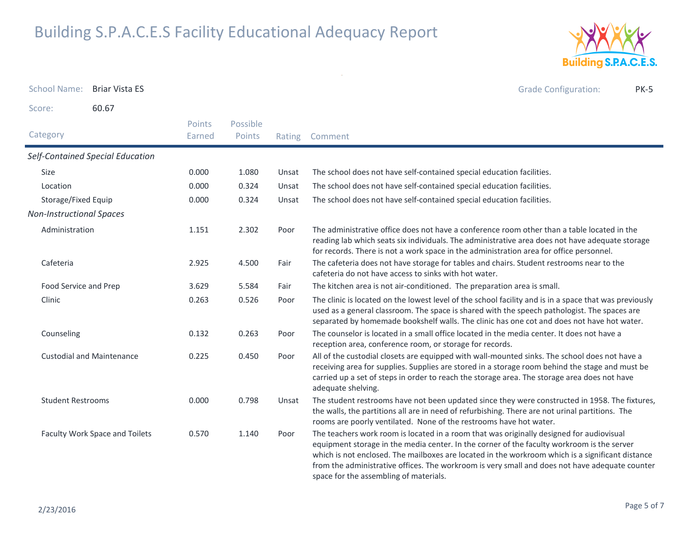

School Name: B<mark>riar Vista ES</mark> Grade Configuration: PK-5Score: 60.67Category Rating Comment Possible PointsPoints EarnedSelf-Contained Special EducationSizee 0.000 1.080 Unsat The school does not have self-contained special education facilities. Location 0.000 0.324 Unsat The school does not have self-contained special education facilities. Storage/Fixed Equip 0.000 0.324 Unsat The school does not have self-contained special education facilities. Non-Instructional SpacesAdministration The administrative office does not have a conference room other than a table located in the reading lab which seats six individuals. The administrative area does not have adequate storage for records. There is not a work space in the administration area for office personnel.1.1512.302 Cafeteria The cafeteria does not have storage for tables and chairs. Student restrooms near to the cafeteria do not have access to sinks with hot water.2.9254.500 Food Service and Prep 3.629 5.584 Fair The kitchen area is not air-conditioned. The preparation area is small. Clinic The clinic is located on the lowest level of the school facility and is in a space that was previouslyused as a general classroom. The space is shared with the speech pathologist. The spaces are separated by homemade bookshelf walls. The clinic has one cot and does not have hot water.0.263 $0.526$ Counseling The counselor is located in a small office located in the media center. It does not have a reception area, conference room, or storage for records.0.132 $0.263$ Custodial and Maintenance All of the custodial closets are equipped with wall-mounted sinks. The school does not have a receiving area for supplies. Supplies are stored in a storage room behind the stage and must be carried up a set of steps in order to reach the storage area. The storage area does not have adequate shelving.0.225 $0.450$ Student Restrooms The student restrooms have not been updated since they were constructed in 1958. The fixtures, the walls, the partitions all are in need of refurbishing. There are not urinal partitions. The rooms are poorly ventilated. None of the restrooms have hot water.0.0000.798 Faculty Work Space and Toilets The teachers work room is located in a room that was originally designed for audiovisual equipment storage in the media center. In the corner of the faculty workroom is the server which is not enclosed. The mailboxes are located in the workroom which is a significant distance from the administrative offices. The workroom is very small and does not have adequate counter 0.5701.140

space for the assembling of materials.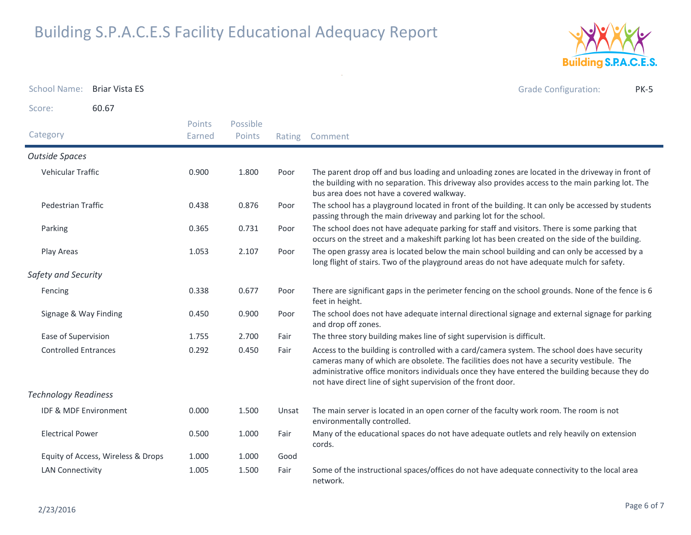

School Name: B<mark>riar Vista ES</mark> Grade Configuration: PK-5Score: 60.67**Category**  Rating Comment Possible PointsPoints EarnedOutside SpacesVehicular Traffic The parent drop off and bus loading and unloading zones are located in the driveway in front of the building with no separation. This driveway also provides access to the main parking lot. The bus area does not have a covered walkway.0.9001.800 Pedestrian Traffic The school has a playground located in front of the building. It can only be accessed by students passing through the main driveway and parking lot for the school.0.4380.876 Parking The school does not have adequate parking for staff and visitors. There is some parking that occurs on the street and a makeshift parking lot has been created on the side of the building.0.365 $0.731$ Play Areas The open grassy area is located below the main school building and can only be accessed by a long flight of stairs. Two of the playground areas do not have adequate mulch for safety.1.0532.107 Safety and SecurityFencing There are significant gaps in the perimeter fencing on the school grounds. None of the fence is 6 feet in height.0.338 $0.677$ Signage & Way FindingPoor The school does not have adequate internal directional signage and external signage for parking and drop off zones.0.450 $0.900$ Ease of Supervision 1.755 2.700 Fair The three story building makes line of sight supervision is difficult. Controlled Entrances Access to the building is controlled with a card/camera system. The school does have security cameras many of which are obsolete. The facilities does not have a security vestibule. The administrative office monitors individuals once they have entered the building because they do not have direct line of sight supervision of the front door.0.292 $0.450$ Technology ReadinessIDF & MDF Environment The main server is located in an open corner of the faculty work room. The room is not environmentally controlled.0.0001.500 Electrical Power Many of the educational spaces do not have adequate outlets and rely heavily on extension cords.0.5001.000 Equity of Access, Wireless & Drops  $1.000$   $1.000$  Good 1.000 LAN Connectivity Some of the instructional spaces/offices do not have adequate connectivity to the local area network.1.0051.500